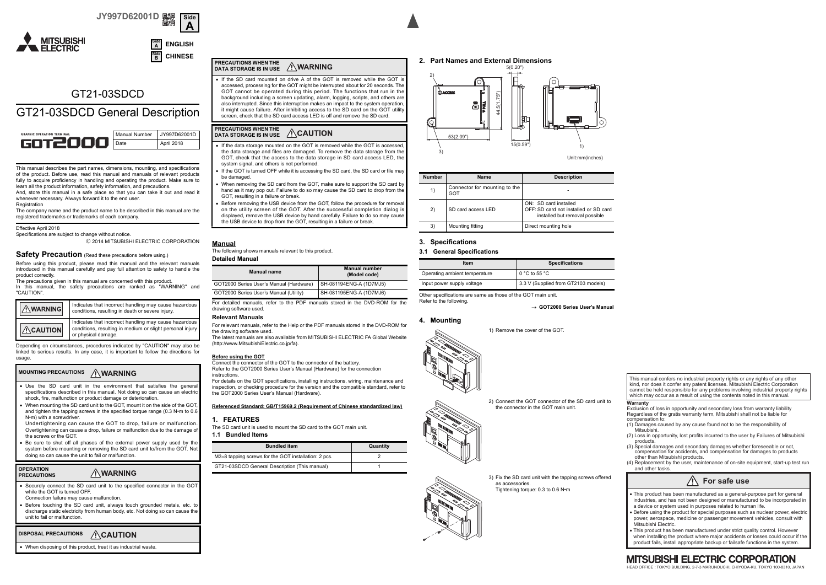**ENGLISHCHINESE**





## GT21-03SDCD

## GT21-03SDCD General Description



This manual describes the part names, dimensions, mounting, and specifications of the product. Before use, read this manual and manuals of relevant products fully to acquire proficiency in handling and operating the product. Make sure to learn all the product information, safety information, and precautions.

And, store this manual in a safe place so that you can take it out and read it whenever necessary. Always forward it to the end user. Registration

The company name and the product name to be described in this manual are the registered trademarks or trademarks of each company.

### Effective April 2018

Specifications are subject to change without notice. 2014 MITSUBISHI ELECTRIC CORPORATION

### **Safety Precaution** (Read these precautions before using.)

Before using this product, please read this manual and the relevant manuals introduced in this manual carefully and pay full attention to safety to handle the product correctly.

The precautions given in this manual are concerned with this product. In this manual, the safety precautions are ranked as "WARNING" and "CAUTION".

| <b>NARNING</b>   | Indicates that incorrect handling may cause hazardous<br>conditions, resulting in death or severe injury.                                 |  |
|------------------|-------------------------------------------------------------------------------------------------------------------------------------------|--|
| $\wedge$ CAUTION | Indicates that incorrect handling may cause hazardous<br>conditions, resulting in medium or slight personal injury<br>or physical damage. |  |

Depending on circumstances, procedures indicated by "CAUTION" may also be linked to serious results. In any case, it is important to follow the directions for usage

### **MOUNTING PRECAUTIONS**

- ۰ Use the SD card unit in the environment that satisfies the general specifications described in this manual. Not doing so can cause an electric shock, fire, malfunction or product damage or deterioration.
- ۰ When mounting the SD card unit to the GOT, mount it on the side of the GOT, and tighten the tapping screws in the specified torque range (0.3 N•m to 0.6 N•m) with a screwdriver.
- Undertightening can cause the GOT to drop, failure or malfunction. Overtightening can cause a drop, failure or malfunction due to the damage of the screws or the GOT.
- ۰ Be sure to shut off all phases of the external power supply used by the system before mounting or removing the SD card unit to/from the GOT. Not doing so can cause the unit to fail or malfunction.

### **OPERATION AWARNING PRECAUTIONS**

- ۰ Securely connect the SD card unit to the specified connector in the GOT while the GOT is turned OFF. Connection failure may cause malfunction.
- ۰ Before touching the SD card unit, always touch grounded metals, etc. to discharge static electricity from human body, etc. Not doing so can cause the unit to fail or malfunction.

### **ACAUTION DISPOSAL PRECAUTIONS**

۰ When disposing of this product, treat it as industrial waste.

### **PRECAUTIONS WHEN THE AWARNING DATA STORAGE IS IN USE**

 If the SD card mounted on drive A of the GOT is removed while the GOT isaccessed, processing for the GOT might be interrupted about for 20 seconds. The GOT cannot be operated during this period. The functions that run in the background including a screen updating, alarm, logging, scripts, and others are also interrupted. Since this interruption makes an impact to the system operation, it might cause failure. After inhibiting access to the SD card on the GOT utility screen, check that the SD card access LED is off and remove the SD card.

### **PRECAUTIONS WHEN THE DATA STORAGE IS IN USE**

٠ If the data storage mounted on the GOT is removed while the GOT is accessed the data storage and files are damaged. To remove the data storage from the GOT, check that the access to the data storage in SD card access LED, the system signal, and others is not performed. ٠

- If the GOT is turned OFF while it is accessing the SD card, the SD card or file may be damaged.
- ٠ When removing the SD card from the GOT, make sure to support the SD card by hand as it may pop out. Failure to do so may cause the SD card to drop from the GOT, resulting in a failure or break.
- ٠ Before removing the USB device from the GOT, follow the procedure for removal on the utility screen of the GOT. After the successful completion dialog is displayed, remove the USB device by hand carefully. Failure to do so may cause the USB device to drop from the GOT, resulting in a failure or break.

## **Manual**

The following shows manuals relevant to this product.

## **Detailed Manual**

| <b>Manual name</b>                      | <b>Manual number</b><br>(Model code) |  |  |
|-----------------------------------------|--------------------------------------|--|--|
| GOT2000 Series User's Manual (Hardware) | SH-081194ENG-A (1D7MJ5)              |  |  |
| GOT2000 Series User's Manual (Utility)  | SH-081195ENG-A (1D7MJ6)              |  |  |

For detailed manuals, refer to the PDF manuals stored in the DVD-ROM for the drawing software used.

## **Relevant Manuals**

 For relevant manuals, refer to the Help or the PDF manuals stored in the DVD-ROM for the drawing software used. The latest manuals are also available from MITSUBISHI ELECTRIC FA Global Website(http://www.MitsubishiElectric.co.jp/fa).

### **Before using the GOT**

Connect the connector of the GOT to the connector of the battery. Refer to the GOT2000 Series User's Manual (Hardware) for the connection instructions.

 For details on the GOT specifications, installing instructions, wiring, maintenance and inspection, or checking procedure for the version and the compatible standard, refer to the GOT2000 Series User's Manual (Hardware).

### **Referenced Standard: GB/T15969.2 (Requirement of Chinese standardized law)**

### **1. FEATURES**

 The SD card unit is used to mount the SD card to the GOT main unit.**1.1 Bundled Items**

| <b>Bundled item</b>                                  | Quantity |
|------------------------------------------------------|----------|
| M3×8 tapping screws for the GOT installation: 2 pcs. |          |
| GT21-03SDCD General Description (This manual)        |          |





Unit:mm(inches)

| <b>Number</b> |                                            | <b>Name</b>        | <b>Description</b>                                                                               |  |  |
|---------------|--------------------------------------------|--------------------|--------------------------------------------------------------------------------------------------|--|--|
|               | Connector for mounting to the<br>1)<br>GOT |                    |                                                                                                  |  |  |
|               | 2)                                         | SD card access LED | ON: SD card installed<br>OFF: SD card not installed or SD card<br>installed but removal possible |  |  |
|               | 3)<br>Mounting fitting                     |                    | Direct mounting hole                                                                             |  |  |

### **3. Specifications**

### **3.1 General Specifications**

| Item                          | <b>Specifications</b>               |  |  |
|-------------------------------|-------------------------------------|--|--|
| Operating ambient temperature | 0 °C to 55 °C                       |  |  |
| Input power supply voltage    | 3.3 V (Supplied from GT2103 models) |  |  |

Other specifications are same as those of the GOT main unit. Refer to the following.

**GOT2000 Series User's Manual**

### **4. Mounting**



2) Connect the GOT connector of the SD card unit to the connector in the GOT main unit.

**Warranty** Exclusion of loss in opportunity and secondary loss from warranty liability Regardless of the gratis warranty term, Mitsubishi shall not be liable for compensation to:

- (1) Damages caused by any cause found not to be the responsibility of **Mitsubishi**
- (2) Loss in opportunity, lost profits incurred to the user by Failures of Mitsubishi products.

This manual confers no industrial property rights or any rights of any other kind, nor does it confer any patent licenses. Mitsubishi Electric Corporation cannot be held responsible for any problems involving industrial property rights which may occur as a result of using the contents noted in this manual.

- (3) Special damages and secondary damages whether foreseeable or not, compensation for accidents, and compensation for damages to products other than Mitsubishi products.
- (4) Replacement by the user, maintenance of on-site equipment, start-up test run and other tasks.

## **For safe use**

- This product has been manufactured as a general-purpose part for general industries, and has not been designed or manufactured to be incorporated in a device or system used in purposes related to human life.
- Before using the product for special purposes such as nuclear power, electric power, aerospace, medicine or passenger movement vehicles, consult with Mitsubishi Electric.
- This product has been manufactured under strict quality control. However when installing the product where major accidents or losses could occur if the ۰
- product fails, install appropriate backup or failsafe functions in the system.

## **MITSUBISHI ELECTRIC CORPORATION**

HEAD OFFICE : TOKYO BUILDING, 2-7-3 MARUNOUCHI, CHIYODA-KU, TOKYO 100-8310, JAPAN



3) Fix the SD card unit with the tapping screws offered as accessories.Tightening torque: 0.3 to 0.6 N•m